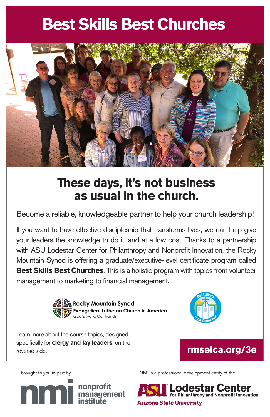# **ndia Best Churches**



# **These days, it's not business as usual in the church.**

Become a reliable, knowledgeable partner to help your church leadership!

If you want to have effective discipleship that transforms lives, we can help give your leaders the knowledge to do it, and at a low cost. Thanks to a partnership with ASU Lodestar Center for Philanthropy and Nonprofit Innovation, the Rocky Mountain Synod is offering a graduate/executive-level certificate program called **Best Skills Best Churches**. This is a holistic program with topics from volunteer management to marketing to financial management.



**Rocky Mountain Synod** Evangelical Lutheran Church in America God's work, Our hands,



Learn more about the course topics, designed specifically for **clergy and lay leaders**, on the reverse side.



brought to you in part by



NMI is a professional development entity of the